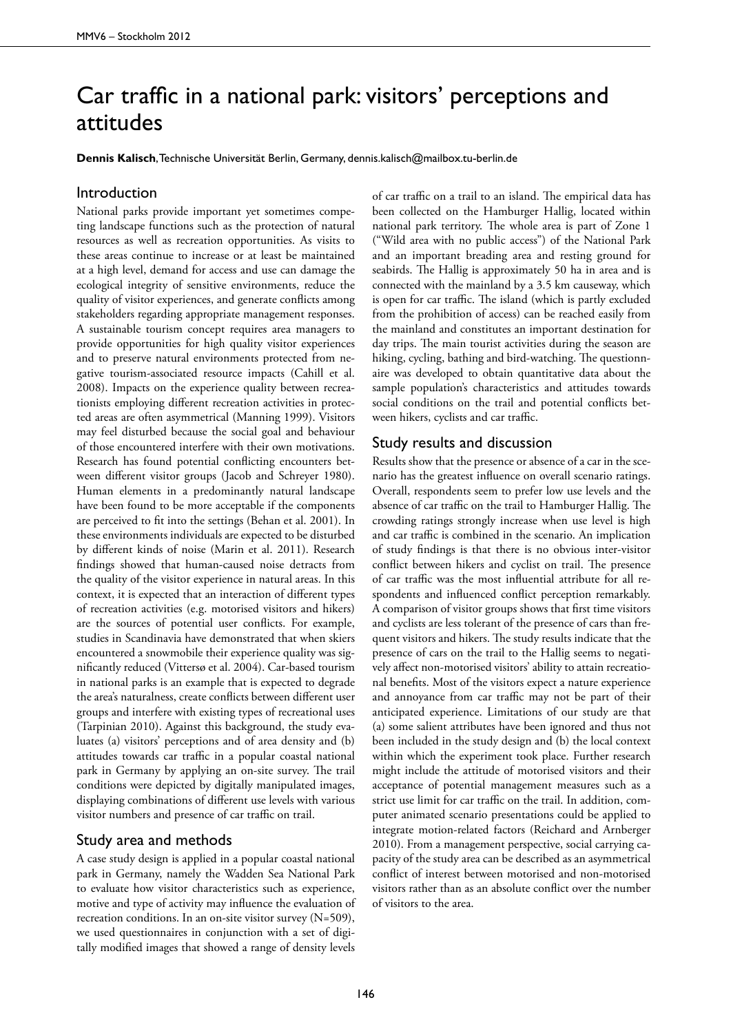## Car traffic in a national park: visitors' perceptions and attitudes

**Dennis Kalisch**, Technische Universität Berlin, Germany, dennis.kalisch@mailbox.tu-berlin.de

## Introduction

National parks provide important yet sometimes competing landscape functions such as the protection of natural resources as well as recreation opportunities. As visits to these areas continue to increase or at least be maintained at a high level, demand for access and use can damage the ecological integrity of sensitive environments, reduce the quality of visitor experiences, and generate conflicts among stakeholders regarding appropriate management responses. A sustainable tourism concept requires area managers to provide opportunities for high quality visitor experiences and to preserve natural environments protected from negative tourism-associated resource impacts (Cahill et al. 2008). Impacts on the experience quality between recreationists employing different recreation activities in protected areas are often asymmetrical (Manning 1999). Visitors may feel disturbed because the social goal and behaviour of those encountered interfere with their own motivations. Research has found potential conflicting encounters between different visitor groups (Jacob and Schreyer 1980). Human elements in a predominantly natural landscape have been found to be more acceptable if the components are perceived to fit into the settings (Behan et al. 2001). In these environments individuals are expected to be disturbed by different kinds of noise (Marin et al. 2011). Research findings showed that human-caused noise detracts from the quality of the visitor experience in natural areas. In this context, it is expected that an interaction of different types of recreation activities (e.g. motorised visitors and hikers) are the sources of potential user conflicts. For example, studies in Scandinavia have demonstrated that when skiers encountered a snowmobile their experience quality was significantly reduced (Vittersø et al. 2004). Car-based tourism in national parks is an example that is expected to degrade the area's naturalness, create conflicts between different user groups and interfere with existing types of recreational uses (Tarpinian 2010). Against this background, the study evaluates (a) visitors' perceptions and of area density and (b) attitudes towards car traffic in a popular coastal national park in Germany by applying an on-site survey. The trail conditions were depicted by digitally manipulated images, displaying combinations of different use levels with various visitor numbers and presence of car traffic on trail.

## Study area and methods

A case study design is applied in a popular coastal national park in Germany, namely the Wadden Sea National Park to evaluate how visitor characteristics such as experience, motive and type of activity may influence the evaluation of recreation conditions. In an on-site visitor survey (N=509), we used questionnaires in conjunction with a set of digitally modified images that showed a range of density levels

of car traffic on a trail to an island. The empirical data has been collected on the Hamburger Hallig, located within national park territory. The whole area is part of Zone 1 ("Wild area with no public access") of the National Park and an important breading area and resting ground for seabirds. The Hallig is approximately 50 ha in area and is connected with the mainland by a 3.5 km causeway, which is open for car traffic. The island (which is partly excluded from the prohibition of access) can be reached easily from the mainland and constitutes an important destination for day trips. The main tourist activities during the season are hiking, cycling, bathing and bird-watching. The questionnaire was developed to obtain quantitative data about the sample population's characteristics and attitudes towards social conditions on the trail and potential conflicts between hikers, cyclists and car traffic.

## Study results and discussion

Results show that the presence or absence of a car in the scenario has the greatest influence on overall scenario ratings. Overall, respondents seem to prefer low use levels and the absence of car traffic on the trail to Hamburger Hallig. The crowding ratings strongly increase when use level is high and car traffic is combined in the scenario. An implication of study findings is that there is no obvious inter-visitor conflict between hikers and cyclist on trail. The presence of car traffic was the most influential attribute for all respondents and influenced conflict perception remarkably. A comparison of visitor groups shows that first time visitors and cyclists are less tolerant of the presence of cars than frequent visitors and hikers. The study results indicate that the presence of cars on the trail to the Hallig seems to negatively affect non-motorised visitors' ability to attain recreational benefits. Most of the visitors expect a nature experience and annoyance from car traffic may not be part of their anticipated experience. Limitations of our study are that (a) some salient attributes have been ignored and thus not been included in the study design and (b) the local context within which the experiment took place. Further research might include the attitude of motorised visitors and their acceptance of potential management measures such as a strict use limit for car traffic on the trail. In addition, computer animated scenario presentations could be applied to integrate motion-related factors (Reichard and Arnberger 2010). From a management perspective, social carrying capacity of the study area can be described as an asymmetrical conflict of interest between motorised and non-motorised visitors rather than as an absolute conflict over the number of visitors to the area.